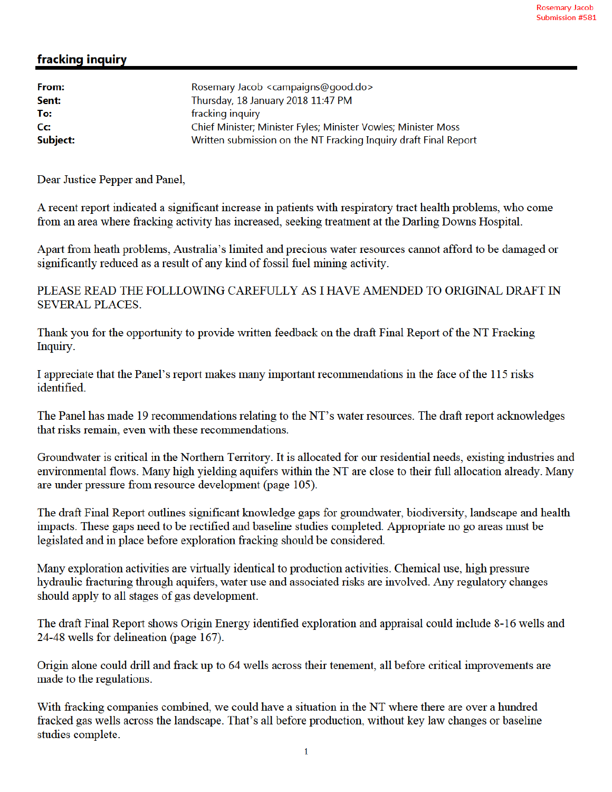## fracking inquiry

| From:    | Rosemary Jacob <campaigns@good.do></campaigns@good.do>           |
|----------|------------------------------------------------------------------|
| Sent:    | Thursday, 18 January 2018 11:47 PM                               |
| To:      | fracking inquiry                                                 |
| Cc:      | Chief Minister; Minister Fyles; Minister Vowles; Minister Moss   |
| Subject: | Written submission on the NT Fracking Inquiry draft Final Report |
|          |                                                                  |

Dear Justice Pepper and Panel,

A recent report indicated a significant increase in patients with respiratory tract health problems, who come from an area where fracking activity has increased, seeking treatment at the Darling Downs Hospital.

Apart from heath problems, Australia's limited and precious water resources cannot afford to be damaged or significantly reduced as a result of any kind of fossil fuel mining activity.

## PLEASE READ THE FOLLLOWING CAREFULLY AS I HAVE AMENDED TO ORIGINAL DRAFT IN **SEVERAL PLACES.**

Thank you for the opportunity to provide written feedback on the draft Final Report of the NT Fracking Inquiry.

I appreciate that the Panel's report makes many important recommendations in the face of the 115 risks identified

The Panel has made 19 recommendations relating to the NT's water resources. The draft report acknowledges that risks remain, even with these recommendations.

Groundwater is critical in the Northern Territory. It is allocated for our residential needs, existing industries and environmental flows. Many high yielding aquifers within the NT are close to their full allocation already. Many are under pressure from resource development (page 105).

The draft Final Report outlines significant knowledge gaps for groundwater, biodiversity, landscape and health impacts. These gaps need to be rectified and baseline studies completed. Appropriate no go areas must be legislated and in place before exploration fracking should be considered.

Many exploration activities are virtually identical to production activities. Chemical use, high pressure hydraulic fracturing through aquifers, water use and associated risks are involved. Any regulatory changes should apply to all stages of gas development.

The draft Final Report shows Origin Energy identified exploration and appraisal could include 8-16 wells and 24-48 wells for delineation (page 167).

Origin alone could drill and frack up to 64 wells across their tenement, all before critical improvements are made to the regulations.

With fracking companies combined, we could have a situation in the NT where there are over a hundred fracked gas wells across the landscape. That's all before production, without key law changes or baseline studies complete.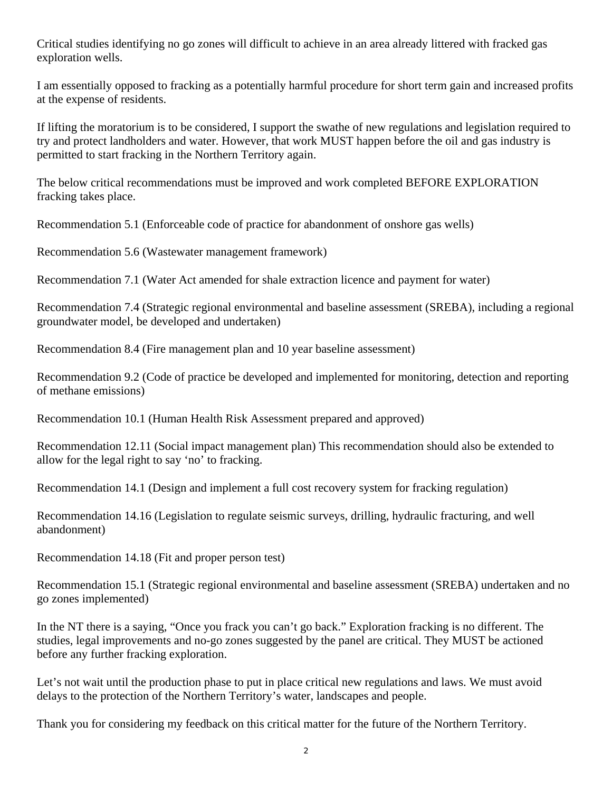Critical studies identifying no go zones will difficult to achieve in an area already littered with fracked gas exploration wells.

I am essentially opposed to fracking as a potentially harmful procedure for short term gain and increased profits at the expense of residents.

If lifting the moratorium is to be considered, I support the swathe of new regulations and legislation required to try and protect landholders and water. However, that work MUST happen before the oil and gas industry is permitted to start fracking in the Northern Territory again.

The below critical recommendations must be improved and work completed BEFORE EXPLORATION fracking takes place.

Recommendation 5.1 (Enforceable code of practice for abandonment of onshore gas wells)

Recommendation 5.6 (Wastewater management framework)

Recommendation 7.1 (Water Act amended for shale extraction licence and payment for water)

Recommendation 7.4 (Strategic regional environmental and baseline assessment (SREBA), including a regional groundwater model, be developed and undertaken)

Recommendation 8.4 (Fire management plan and 10 year baseline assessment)

Recommendation 9.2 (Code of practice be developed and implemented for monitoring, detection and reporting of methane emissions)

Recommendation 10.1 (Human Health Risk Assessment prepared and approved)

Recommendation 12.11 (Social impact management plan) This recommendation should also be extended to allow for the legal right to say 'no' to fracking.

Recommendation 14.1 (Design and implement a full cost recovery system for fracking regulation)

Recommendation 14.16 (Legislation to regulate seismic surveys, drilling, hydraulic fracturing, and well abandonment)

Recommendation 14.18 (Fit and proper person test)

Recommendation 15.1 (Strategic regional environmental and baseline assessment (SREBA) undertaken and no go zones implemented)

In the NT there is a saying, "Once you frack you can't go back." Exploration fracking is no different. The studies, legal improvements and no-go zones suggested by the panel are critical. They MUST be actioned before any further fracking exploration.

Let's not wait until the production phase to put in place critical new regulations and laws. We must avoid delays to the protection of the Northern Territory's water, landscapes and people.

Thank you for considering my feedback on this critical matter for the future of the Northern Territory.